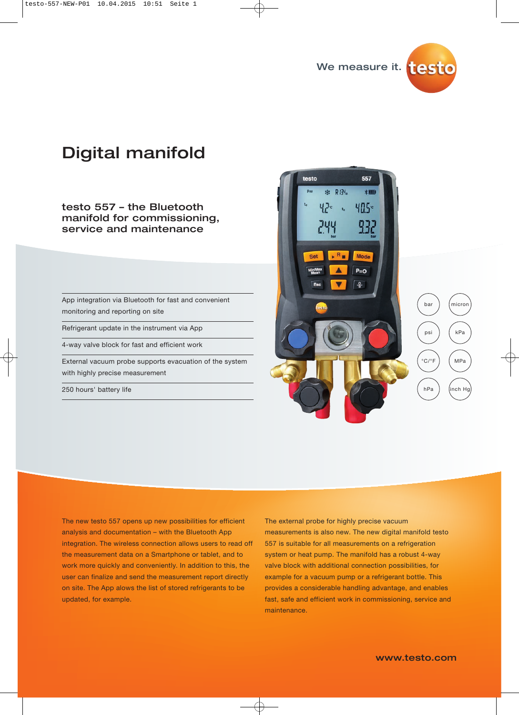

# Digital manifold

testo 557 – the Bluetooth manifold for commissioning, service and maintenance

App integration via Bluetooth for fast and convenient monitoring and reporting on site

Refrigerant update in the instrument via App

4-way valve block for fast and efficient work

External vacuum probe supports evacuation of the system with highly precise measurement

250 hours' battery life



The new testo 557 opens up new possibilities for efficient analysis and documentation – with the Bluetooth App integration. The wireless connection allows users to read off the measurement data on a Smartphone or tablet, and to work more quickly and conveniently. In addition to this, the user can finalize and send the measurement report directly on site. The App alows the list of stored refrigerants to be updated, for example.

The external probe for highly precise vacuum measurements is also new. The new digital manifold testo 557 is suitable for all measurements on a refrigeration system or heat pump. The manifold has a robust 4-way valve block with additional connection possibilities, for example for a vacuum pump or a refrigerant bottle. This provides a considerable handling advantage, and enables fast, safe and efficient work in commissioning, service and maintenance.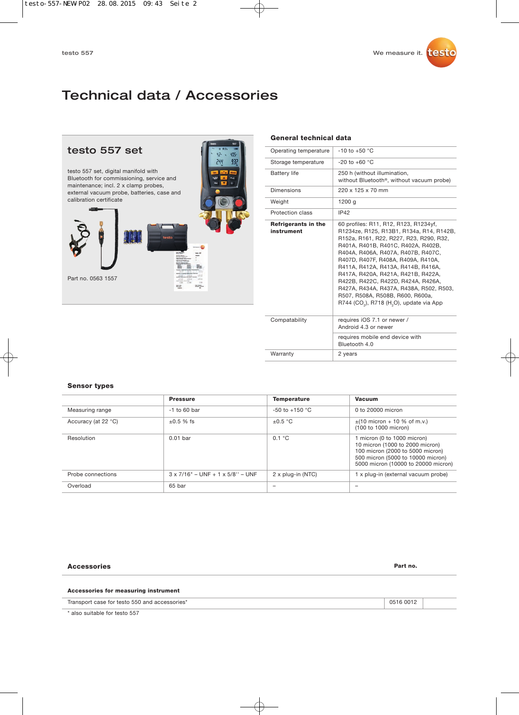## Technical data / Accessories



#### **General technical data**

| Operating temperature             | $-10$ to $+50$ °C                                                                                                                                                                                                                                                                                                                                                                                                                                                                                                     |
|-----------------------------------|-----------------------------------------------------------------------------------------------------------------------------------------------------------------------------------------------------------------------------------------------------------------------------------------------------------------------------------------------------------------------------------------------------------------------------------------------------------------------------------------------------------------------|
| Storage temperature               | $-20$ to $+60$ °C                                                                                                                                                                                                                                                                                                                                                                                                                                                                                                     |
| <b>Battery life</b>               | 250 h (without illumination,<br>without Bluetooth <sup>®</sup> , without vacuum probe)                                                                                                                                                                                                                                                                                                                                                                                                                                |
| Dimensions                        | 220 x 125 x 70 mm                                                                                                                                                                                                                                                                                                                                                                                                                                                                                                     |
| Weight                            | 1200 g                                                                                                                                                                                                                                                                                                                                                                                                                                                                                                                |
| Protection class                  | IP42                                                                                                                                                                                                                                                                                                                                                                                                                                                                                                                  |
| Refrigerants in the<br>instrument | 60 profiles: R11, R12, R123, R1234yf,<br>R1234ze, R125, R13B1, R134a, R14, R142B,<br>R152a, R161, R22, R227, R23, R290, R32,<br>R401A, R401B, R401C, R402A, R402B,<br>R404A, R406A, R407A, R407B, R407C,<br>R407D, R407F, R408A, R409A, R410A,<br>R411A, R412A, R413A, R414B, R416A,<br>R417A, R420A, R421A, R421B, R422A,<br>R422B, R422C, R422D, R424A, R426A,<br>R427A, R434A, R437A, R438A, R502, R503,<br>R507, R508A, R508B, R600, R600a,<br>$R744$ (CO <sub>2</sub> ), R718 (H <sub>2</sub> O), update via App |
| Compatability                     | requires iOS 7.1 or newer /<br>Android 4.3 or newer                                                                                                                                                                                                                                                                                                                                                                                                                                                                   |
|                                   | requires mobile end device with<br>Bluetooth 4.0                                                                                                                                                                                                                                                                                                                                                                                                                                                                      |
| Warranty                          | 2 years                                                                                                                                                                                                                                                                                                                                                                                                                                                                                                               |

#### **Sensor types**

|                     | <b>Pressure</b>                         | <b>Temperature</b> | <b>Vacuum</b>                                                                                                                                                                  |
|---------------------|-----------------------------------------|--------------------|--------------------------------------------------------------------------------------------------------------------------------------------------------------------------------|
| Measuring range     | $-1$ to 60 bar                          | $-50$ to $+150$ °C | 0 to 20000 micron                                                                                                                                                              |
| Accuracy (at 22 °C) | $\pm 0.5$ % fs                          | $\pm 0.5$ °C       | $\pm$ (10 micron + 10 % of m.v.)<br>(100 to 1000 micron)                                                                                                                       |
| Resolution          | $0.01$ bar                              | 0.1 °C             | 1 micron (0 to 1000 micron)<br>10 micron (1000 to 2000 micron)<br>100 micron (2000 to 5000 micron)<br>500 micron (5000 to 10000 micron)<br>5000 micron (10000 to 20000 micron) |
| Probe connections   | $3 \times 7/16"$ – UNF + 1 x 5/8" – UNF | 2 x plug-in (NTC)  | 1 x plug-in (external vacuum probe)                                                                                                                                            |
| Overload            | 65 bar                                  | -                  | -                                                                                                                                                                              |

#### **Accessories Part no.**

#### **Accessories for measuring instrument**

Transport case for testo 550 and accessories\* 0516 0012

\* also suitable for testo 557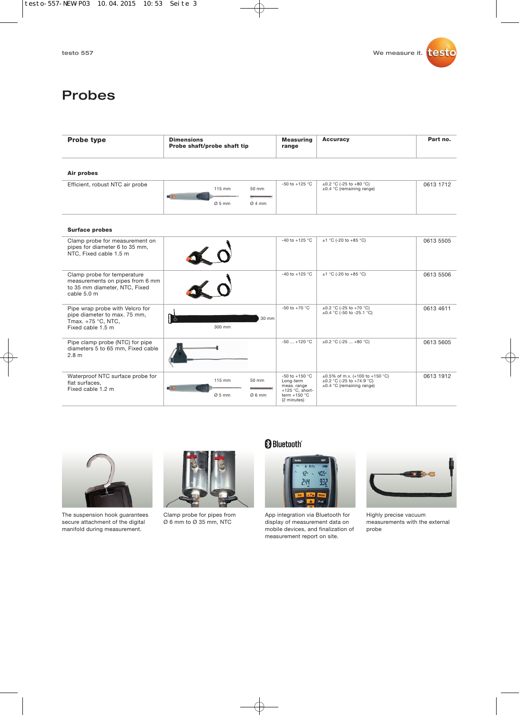

### Probes

| <b>Probe type</b>                                                                                              | <b>Dimensions</b><br>Probe shaft/probe shaft tip                   | <b>Measuring</b><br>range                                                                                  | <b>Accuracy</b>                                                                           | Part no.  |  |  |  |  |
|----------------------------------------------------------------------------------------------------------------|--------------------------------------------------------------------|------------------------------------------------------------------------------------------------------------|-------------------------------------------------------------------------------------------|-----------|--|--|--|--|
| Air probes                                                                                                     |                                                                    |                                                                                                            |                                                                                           |           |  |  |  |  |
| Efficient, robust NTC air probe                                                                                | 115 mm<br>50 mm<br>$\blacksquare$ e<br>THE<br>$0.5$ mm<br>$Q$ 4 mm | -50 to +125 °C                                                                                             | $\pm 0.2$ °C (-25 to +80 °C)<br>±0.4 °C (remaining range)                                 | 0613 1712 |  |  |  |  |
| <b>Surface probes</b>                                                                                          |                                                                    |                                                                                                            |                                                                                           |           |  |  |  |  |
| Clamp probe for measurement on<br>pipes for diameter 6 to 35 mm,<br>NTC, Fixed cable 1.5 m                     | $\frac{1}{2}$                                                      | -40 to +125 °C                                                                                             | $±1$ °C (-20 to +85 °C)                                                                   | 0613 5505 |  |  |  |  |
| Clamp probe for temperature<br>measurements on pipes from 6 mm<br>to 35 mm diameter, NTC, Fixed<br>cable 5.0 m |                                                                    | $-40$ to $+125$ °C                                                                                         | $±1 °C (-20 to +85 °C)$                                                                   | 0613 5506 |  |  |  |  |
| Pipe wrap probe with Velcro for<br>pipe diameter to max. 75 mm,<br>Tmax. +75 °C, NTC,<br>Fixed cable 1.5 m     | 30 mm<br>300 mm                                                    | -50 to +70 $^{\circ}$ C                                                                                    | $\pm 0.2$ °C (-25 to +70 °C)<br>±0.4 °C (-50 to -25.1 °C)                                 | 0613 4611 |  |  |  |  |
| Pipe clamp probe (NTC) for pipe<br>diameters 5 to 65 mm, Fixed cable<br>2.8 <sub>m</sub>                       |                                                                    | $-50+120 °C$                                                                                               | $\pm 0.2$ °C (-25  +80 °C)                                                                | 0613 5605 |  |  |  |  |
| Waterproof NTC surface probe for<br>flat surfaces.<br>Fixed cable 1.2 m                                        | 115 mm<br>50 mm<br>$\blacksquare$<br>$Ø5$ mm<br>Ø6mm               | -50 to +150 $^{\circ}$ C<br>Long-term<br>meas. range<br>$+125$ °C, short-<br>term $+150$ °C<br>(2 minutes) | ±0.5% of m.v. (+100 to +150 °C)<br>±0.2 °C (-25 to +74.9 °C)<br>±0.4 °C (remaining range) | 0613 1912 |  |  |  |  |



The suspension hook guarantees secure attachment of the digital manifold during measurement.

Clamp probe for pipes from Ø 6 mm to Ø 35 mm, NTC

### **Bluetooth**



App integration via Bluetooth for display of measurement data on mobile devices, and finalization of measurement report on site.



Highly precise vacuum measurements with the external probe